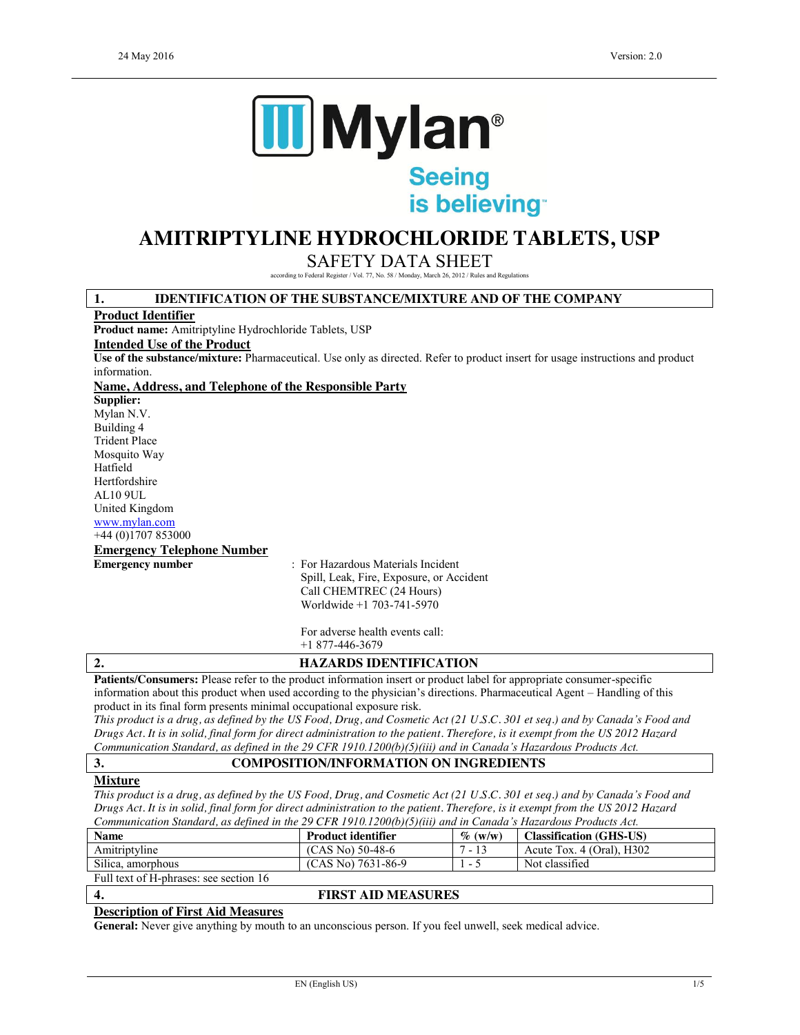

is believing

# **AMITRIPTYLINE HYDROCHLORIDE TABLETS, USP**

SAFETY DATA SHEET

according to Federal Register / Vol. 77, No. 58 / Monday, March 26, 2012 / Rules and Regulations

# **1. IDENTIFICATION OF THE SUBSTANCE/MIXTURE AND OF THE COMPANY**

#### **Product Identifier**

**Product name:** Amitriptyline Hydrochloride Tablets, USP

#### **Intended Use of the Product**

**Use of the substance/mixture:** Pharmaceutical. Use only as directed. Refer to product insert for usage instructions and product information.

#### **Name, Address, and Telephone of the Responsible Party**

**Supplier:** Mylan N.V. Building 4 Trident Place Mosquito Way Hatfield Hertfordshire AL10 9UL United Kingdom www.mylan.com +44 (0)1707 853000

# **Emergency Telephone Number**

**Emergency number** : For Hazardous Materials Incident Spill, Leak, Fire, Exposure, or Accident Call CHEMTREC (24 Hours) Worldwide +1 703-741-5970

> For adverse health events call: +1 877-446-3679

# **2. HAZARDS IDENTIFICATION**

**Patients/Consumers:** Please refer to the product information insert or product label for appropriate consumer-specific information about this product when used according to the physician's directions. Pharmaceutical Agent – Handling of this product in its final form presents minimal occupational exposure risk.

*This product is a drug, as defined by the US Food, Drug, and Cosmetic Act (21 U.S.C. 301 et seq.) and by Canada's Food and Drugs Act. It is in solid, final form for direct administration to the patient. Therefore, is it exempt from the US 2012 Hazard Communication Standard, as defined in the 29 CFR 1910.1200(b)(5)(iii) and in Canada's Hazardous Products Act.*

### **3. COMPOSITION/INFORMATION ON INGREDIENTS**

# **Mixture**

*This product is a drug, as defined by the US Food, Drug, and Cosmetic Act (21 U.S.C. 301 et seq.) and by Canada's Food and Drugs Act. It is in solid, final form for direct administration to the patient. Therefore, is it exempt from the US 2012 Hazard Communication Standard, as defined in the 29 CFR 1910.1200(b)(5)(iii) and in Canada's Hazardous Products Act.*

| <b>Name</b>                            | <b>Product identifier</b> | $\%$ (w/w) | <b>Classification (GHS-US)</b> |
|----------------------------------------|---------------------------|------------|--------------------------------|
| Amitriptyline                          | $(CAS No) 50-48-6$        | $-13$      | Acute Tox. $4$ (Oral), H302    |
| Silica, amorphous                      | $(CAS No) 7631-86-9$      | $-$        | Not classified                 |
| Full text of H-phrases: see section 16 |                           |            |                                |

# **4. FIRST AID MEASURES**

# **Description of First Aid Measures**

**General:** Never give anything by mouth to an unconscious person. If you feel unwell, seek medical advice.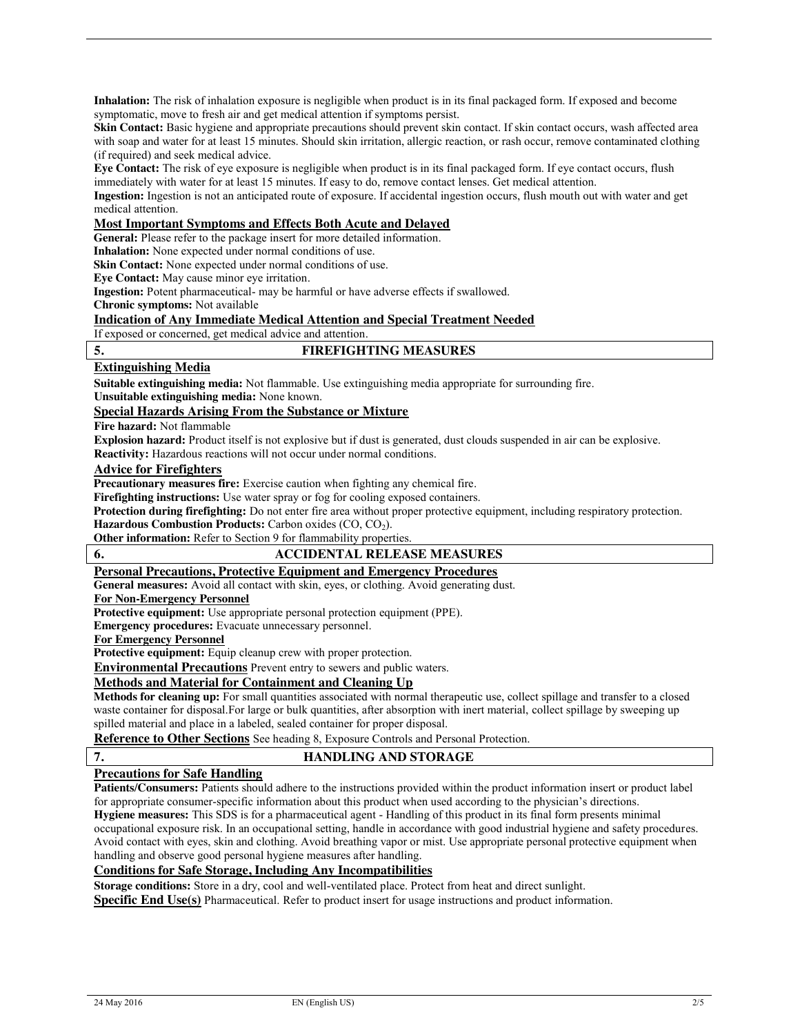**Inhalation:** The risk of inhalation exposure is negligible when product is in its final packaged form. If exposed and become symptomatic, move to fresh air and get medical attention if symptoms persist.

**Skin Contact:** Basic hygiene and appropriate precautions should prevent skin contact. If skin contact occurs, wash affected area with soap and water for at least 15 minutes. Should skin irritation, allergic reaction, or rash occur, remove contaminated clothing (if required) and seek medical advice.

**Eye Contact:** The risk of eye exposure is negligible when product is in its final packaged form. If eye contact occurs, flush immediately with water for at least 15 minutes. If easy to do, remove contact lenses. Get medical attention.

**Ingestion:** Ingestion is not an anticipated route of exposure. If accidental ingestion occurs, flush mouth out with water and get medical attention.

### **Most Important Symptoms and Effects Both Acute and Delayed**

**General:** Please refer to the package insert for more detailed information.

**Inhalation:** None expected under normal conditions of use.

**Skin Contact:** None expected under normal conditions of use.

**Eye Contact:** May cause minor eye irritation.

**Ingestion:** Potent pharmaceutical- may be harmful or have adverse effects if swallowed.

**Chronic symptoms:** Not available

#### **Indication of Any Immediate Medical Attention and Special Treatment Needed**

If exposed or concerned, get medical advice and attention.

### **5. FIREFIGHTING MEASURES**

### **Extinguishing Media**

**Suitable extinguishing media:** Not flammable. Use extinguishing media appropriate for surrounding fire.

**Unsuitable extinguishing media:** None known.

# **Special Hazards Arising From the Substance or Mixture**

**Fire hazard:** Not flammable

**Explosion hazard:** Product itself is not explosive but if dust is generated, dust clouds suspended in air can be explosive. **Reactivity:** Hazardous reactions will not occur under normal conditions.

# **Advice for Firefighters**

**Precautionary measures fire:** Exercise caution when fighting any chemical fire.

**Firefighting instructions:** Use water spray or fog for cooling exposed containers.

**Protection during firefighting:** Do not enter fire area without proper protective equipment, including respiratory protection.

**Hazardous Combustion Products:** Carbon oxides (CO, CO<sub>2</sub>).

**Other information:** Refer to Section 9 for flammability properties.

# **6. ACCIDENTAL RELEASE MEASURES**

# **Personal Precautions, Protective Equipment and Emergency Procedures**

**General measures:** Avoid all contact with skin, eyes, or clothing. Avoid generating dust.

# **For Non-Emergency Personnel**

**Protective equipment:** Use appropriate personal protection equipment (PPE).

**Emergency procedures:** Evacuate unnecessary personnel.

**For Emergency Personnel**

**Protective equipment:** Equip cleanup crew with proper protection.

**Environmental Precautions** Prevent entry to sewers and public waters.

# **Methods and Material for Containment and Cleaning Up**

**Methods for cleaning up:** For small quantities associated with normal therapeutic use, collect spillage and transfer to a closed waste container for disposal.For large or bulk quantities, after absorption with inert material, collect spillage by sweeping up spilled material and place in a labeled, sealed container for proper disposal.

**Reference to Other Sections** See heading 8, Exposure Controls and Personal Protection.

# **7. HANDLING AND STORAGE**

# **Precautions for Safe Handling**

**Patients/Consumers:** Patients should adhere to the instructions provided within the product information insert or product label for appropriate consumer-specific information about this product when used according to the physician's directions. **Hygiene measures:** This SDS is for a pharmaceutical agent - Handling of this product in its final form presents minimal occupational exposure risk. In an occupational setting, handle in accordance with good industrial hygiene and safety procedures. Avoid contact with eyes, skin and clothing. Avoid breathing vapor or mist. Use appropriate personal protective equipment when handling and observe good personal hygiene measures after handling.

# **Conditions for Safe Storage, Including Any Incompatibilities**

**Specific End Use(s)** Pharmaceutical. Refer to product insert for usage instructions and product information. **Storage conditions:** Store in a dry, cool and well-ventilated place. Protect from heat and direct sunlight.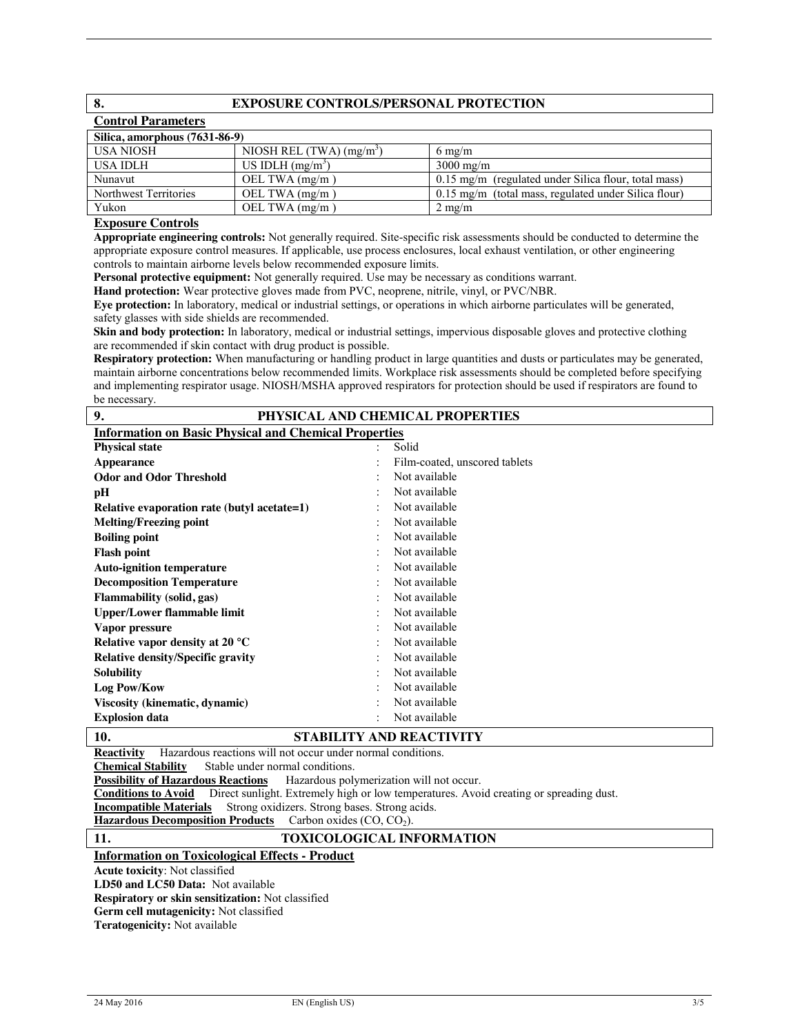# **8. EXPOSURE CONTROLS/PERSONAL PROTECTION**

| <b>Control Parameters</b>     |                             |                                                        |  |  |  |  |
|-------------------------------|-----------------------------|--------------------------------------------------------|--|--|--|--|
| Silica, amorphous (7631-86-9) |                             |                                                        |  |  |  |  |
| USA NIOSH                     | NIOSH REL $(TWA)$ $(mg/m3)$ | $6 \text{ mg/m}$                                       |  |  |  |  |
| USA IDLH                      | US IDLH $(mg/m3)$           | $3000 \text{ mg/m}$                                    |  |  |  |  |
| Nunavut                       | OEL TWA $(mg/m)$            | 0.15 mg/m (regulated under Silica flour, total mass)   |  |  |  |  |
| Northwest Territories         | OEL TWA $(mg/m)$            | $0.15$ mg/m (total mass, regulated under Silica flour) |  |  |  |  |
| Yukon                         | OEL TWA $(mg/m)$            | $2 \text{ mg/m}$                                       |  |  |  |  |

### **Exposure Controls**

**Appropriate engineering controls:** Not generally required. Site-specific risk assessments should be conducted to determine the appropriate exposure control measures. If applicable, use process enclosures, local exhaust ventilation, or other engineering controls to maintain airborne levels below recommended exposure limits.

**Personal protective equipment:** Not generally required. Use may be necessary as conditions warrant.

**Hand protection:** Wear protective gloves made from PVC, neoprene, nitrile, vinyl, or PVC/NBR.

**Eye protection:** In laboratory, medical or industrial settings, or operations in which airborne particulates will be generated, safety glasses with side shields are recommended.

**Skin and body protection:** In laboratory, medical or industrial settings, impervious disposable gloves and protective clothing are recommended if skin contact with drug product is possible.

**Respiratory protection:** When manufacturing or handling product in large quantities and dusts or particulates may be generated, maintain airborne concentrations below recommended limits. Workplace risk assessments should be completed before specifying and implementing respirator usage. NIOSH/MSHA approved respirators for protection should be used if respirators are found to be necessary.

| 9.<br>PHYSICAL AND CHEMICAL PROPERTIES                       |  |                               |  |  |
|--------------------------------------------------------------|--|-------------------------------|--|--|
| <b>Information on Basic Physical and Chemical Properties</b> |  |                               |  |  |
| <b>Physical state</b>                                        |  | Solid                         |  |  |
| <b>Appearance</b>                                            |  | Film-coated, unscored tablets |  |  |
| <b>Odor and Odor Threshold</b>                               |  | Not available                 |  |  |
| pН                                                           |  | Not available                 |  |  |
| Relative evaporation rate (butyl acetate=1)                  |  | Not available                 |  |  |
| <b>Melting/Freezing point</b>                                |  | Not available                 |  |  |
| <b>Boiling point</b>                                         |  | Not available                 |  |  |
| <b>Flash point</b>                                           |  | Not available                 |  |  |
| <b>Auto-ignition temperature</b>                             |  | Not available                 |  |  |
| <b>Decomposition Temperature</b>                             |  | Not available                 |  |  |
| <b>Flammability</b> (solid, gas)                             |  | Not available                 |  |  |
| <b>Upper/Lower flammable limit</b>                           |  | Not available                 |  |  |
| Vapor pressure                                               |  | Not available                 |  |  |
| Relative vapor density at 20 $^{\circ}$ C                    |  | Not available                 |  |  |
| <b>Relative density/Specific gravity</b>                     |  | Not available                 |  |  |
| <b>Solubility</b>                                            |  | Not available                 |  |  |
| Log Pow/Kow                                                  |  | Not available                 |  |  |
| Viscosity (kinematic, dynamic)                               |  | Not available                 |  |  |
| <b>Explosion data</b>                                        |  | Not available                 |  |  |

# **10. STABILITY AND REACTIVITY**

**Reactivity** Hazardous reactions will not occur under normal conditions.

**Chemical Stability** Stable under normal conditions.<br>**Possibility of Hazardous Reactions** Hazardous poly

Hazardous polymerization will not occur.

**Conditions to Avoid** Direct sunlight. Extremely high or low temperatures. Avoid creating or spreading dust.

**Incompatible Materials** Strong oxidizers. Strong bases. Strong acids.

Hazardous Decomposition Products Carbon oxides (CO, CO<sub>2</sub>).

**11. TOXICOLOGICAL INFORMATION Information on Toxicological Effects - Product**

**Acute toxicity**: Not classified

**LD50 and LC50 Data:** Not available

**Respiratory or skin sensitization:** Not classified

**Germ cell mutagenicity:** Not classified

**Teratogenicity:** Not available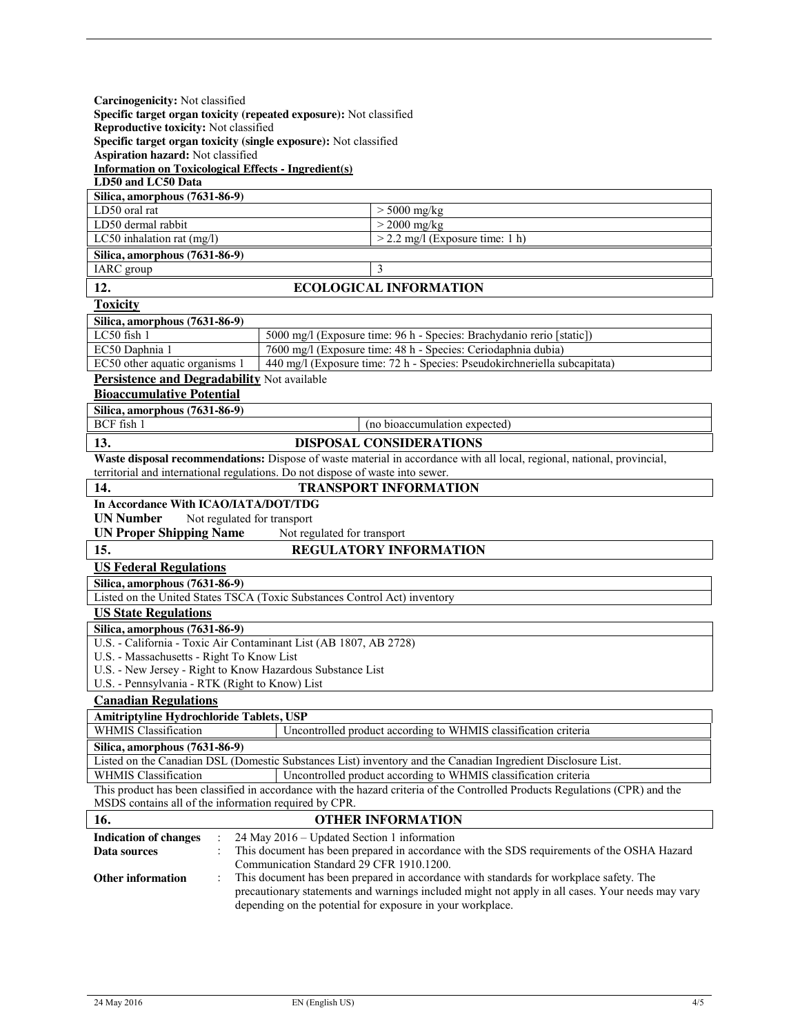| Carcinogenicity: Not classified<br>Specific target organ toxicity (repeated exposure): Not classified<br>Reproductive toxicity: Not classified<br>Specific target organ toxicity (single exposure): Not classified<br>Aspiration hazard: Not classified |                                                                                                                                                                |  |  |
|---------------------------------------------------------------------------------------------------------------------------------------------------------------------------------------------------------------------------------------------------------|----------------------------------------------------------------------------------------------------------------------------------------------------------------|--|--|
| <b>Information on Toxicological Effects - Ingredient(s)</b><br>LD50 and LC50 Data                                                                                                                                                                       |                                                                                                                                                                |  |  |
| Silica, amorphous (7631-86-9)                                                                                                                                                                                                                           |                                                                                                                                                                |  |  |
| LD50 oral rat                                                                                                                                                                                                                                           | $> 5000$ mg/kg                                                                                                                                                 |  |  |
| LD50 dermal rabbit<br>LC50 inhalation rat $(mg/l)$                                                                                                                                                                                                      | $>$ 2000 mg/kg<br>$>$ 2.2 mg/l (Exposure time: 1 h)                                                                                                            |  |  |
| Silica, amorphous (7631-86-9)                                                                                                                                                                                                                           |                                                                                                                                                                |  |  |
| IARC group                                                                                                                                                                                                                                              | 3                                                                                                                                                              |  |  |
| 12.                                                                                                                                                                                                                                                     | <b>ECOLOGICAL INFORMATION</b>                                                                                                                                  |  |  |
| <b>Toxicity</b>                                                                                                                                                                                                                                         |                                                                                                                                                                |  |  |
| Silica, amorphous (7631-86-9)                                                                                                                                                                                                                           |                                                                                                                                                                |  |  |
| LC50 fish 1                                                                                                                                                                                                                                             | 5000 mg/l (Exposure time: 96 h - Species: Brachydanio rerio [static])                                                                                          |  |  |
| EC50 Daphnia 1                                                                                                                                                                                                                                          | 7600 mg/l (Exposure time: 48 h - Species: Ceriodaphnia dubia)                                                                                                  |  |  |
| EC50 other aquatic organisms 1                                                                                                                                                                                                                          | 440 mg/l (Exposure time: 72 h - Species: Pseudokirchneriella subcapitata)                                                                                      |  |  |
| Persistence and Degradability Not available                                                                                                                                                                                                             |                                                                                                                                                                |  |  |
| <b>Bioaccumulative Potential</b>                                                                                                                                                                                                                        |                                                                                                                                                                |  |  |
| Silica, amorphous (7631-86-9)<br>BCF fish 1                                                                                                                                                                                                             | (no bioaccumulation expected)                                                                                                                                  |  |  |
| 13.                                                                                                                                                                                                                                                     | <b>DISPOSAL CONSIDERATIONS</b>                                                                                                                                 |  |  |
|                                                                                                                                                                                                                                                         | Waste disposal recommendations: Dispose of waste material in accordance with all local, regional, national, provincial,                                        |  |  |
|                                                                                                                                                                                                                                                         | territorial and international regulations. Do not dispose of waste into sewer.                                                                                 |  |  |
| 14.                                                                                                                                                                                                                                                     | <b>TRANSPORT INFORMATION</b>                                                                                                                                   |  |  |
| In Accordance With ICAO/IATA/DOT/TDG                                                                                                                                                                                                                    |                                                                                                                                                                |  |  |
| <b>UN Number</b><br>Not regulated for transport                                                                                                                                                                                                         |                                                                                                                                                                |  |  |
| <b>UN Proper Shipping Name</b>                                                                                                                                                                                                                          | Not regulated for transport                                                                                                                                    |  |  |
| 15.                                                                                                                                                                                                                                                     | <b>REGULATORY INFORMATION</b>                                                                                                                                  |  |  |
| <b>US Federal Regulations</b>                                                                                                                                                                                                                           |                                                                                                                                                                |  |  |
| Silica, amorphous (7631-86-9)                                                                                                                                                                                                                           |                                                                                                                                                                |  |  |
|                                                                                                                                                                                                                                                         | Listed on the United States TSCA (Toxic Substances Control Act) inventory                                                                                      |  |  |
| <b>US State Regulations</b>                                                                                                                                                                                                                             |                                                                                                                                                                |  |  |
| Silica, amorphous (7631-86-9)                                                                                                                                                                                                                           |                                                                                                                                                                |  |  |
| U.S. - California - Toxic Air Contaminant List (AB 1807, AB 2728)                                                                                                                                                                                       |                                                                                                                                                                |  |  |
| U.S. - Massachusetts - Right To Know List<br>U.S. - New Jersey - Right to Know Hazardous Substance List                                                                                                                                                 |                                                                                                                                                                |  |  |
|                                                                                                                                                                                                                                                         | U.S. - Pennsylvania - RTK (Right to Know) List                                                                                                                 |  |  |
| <b>Canadian Regulations</b>                                                                                                                                                                                                                             |                                                                                                                                                                |  |  |
| Amitriptyline Hydrochloride Tablets, USP                                                                                                                                                                                                                |                                                                                                                                                                |  |  |
| <b>WHMIS Classification</b>                                                                                                                                                                                                                             | Uncontrolled product according to WHMIS classification criteria                                                                                                |  |  |
| Silica, amorphous (7631-86-9)                                                                                                                                                                                                                           |                                                                                                                                                                |  |  |
|                                                                                                                                                                                                                                                         | Listed on the Canadian DSL (Domestic Substances List) inventory and the Canadian Ingredient Disclosure List.                                                   |  |  |
| <b>WHMIS Classification</b>                                                                                                                                                                                                                             | Uncontrolled product according to WHMIS classification criteria                                                                                                |  |  |
| This product has been classified in accordance with the hazard criteria of the Controlled Products Regulations (CPR) and the<br>MSDS contains all of the information required by CPR.                                                                   |                                                                                                                                                                |  |  |
| 16.<br><b>OTHER INFORMATION</b>                                                                                                                                                                                                                         |                                                                                                                                                                |  |  |
|                                                                                                                                                                                                                                                         | 24 May 2016 – Updated Section 1 information                                                                                                                    |  |  |
| <b>Indication of changes</b><br>Data sources                                                                                                                                                                                                            | This document has been prepared in accordance with the SDS requirements of the OSHA Hazard                                                                     |  |  |
|                                                                                                                                                                                                                                                         | Communication Standard 29 CFR 1910.1200.                                                                                                                       |  |  |
| <b>Other information</b>                                                                                                                                                                                                                                | This document has been prepared in accordance with standards for workplace safety. The                                                                         |  |  |
|                                                                                                                                                                                                                                                         | precautionary statements and warnings included might not apply in all cases. Your needs may vary<br>depending on the potential for exposure in your workplace. |  |  |